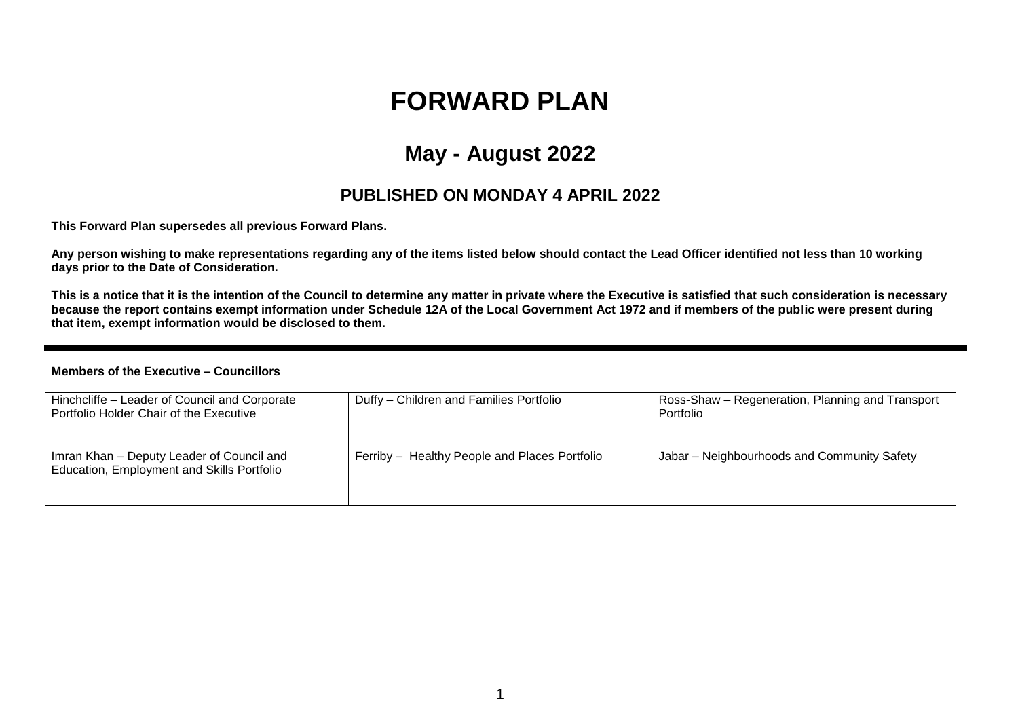# **FORWARD PLAN**

## **May - August 2022**

#### **PUBLISHED ON MONDAY 4 APRIL 2022**

**This Forward Plan supersedes all previous Forward Plans.**

**Any person wishing to make representations regarding any of the items listed below should contact the Lead Officer identified not less than 10 working days prior to the Date of Consideration.** 

**This is a notice that it is the intention of the Council to determine any matter in private where the Executive is satisfied that such consideration is necessary because the report contains exempt information under Schedule 12A of the Local Government Act 1972 and if members of the public were present during that item, exempt information would be disclosed to them.**

#### **Members of the Executive – Councillors**

| Hinchcliffe - Leader of Council and Corporate<br>Portfolio Holder Chair of the Executive | Duffy - Children and Families Portfolio       | Ross-Shaw – Regeneration, Planning and Transport<br>Portfolio |
|------------------------------------------------------------------------------------------|-----------------------------------------------|---------------------------------------------------------------|
| Imran Khan – Deputy Leader of Council and<br>Education, Employment and Skills Portfolio  | Ferriby - Healthy People and Places Portfolio | Jabar – Neighbourhoods and Community Safety                   |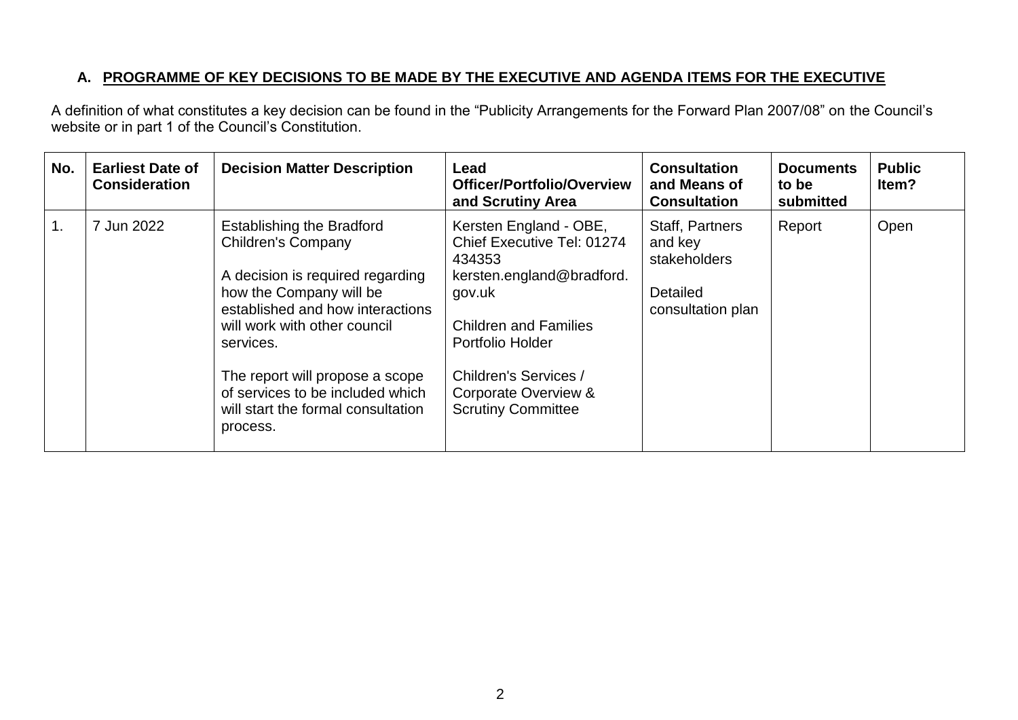### **A. PROGRAMME OF KEY DECISIONS TO BE MADE BY THE EXECUTIVE AND AGENDA ITEMS FOR THE EXECUTIVE**

A definition of what constitutes a key decision can be found in the "Publicity Arrangements for the Forward Plan 2007/08" on the Council's website or in part 1 of the Council's Constitution.

| No. | <b>Earliest Date of</b><br><b>Consideration</b> | <b>Decision Matter Description</b>                                                                                                                                                                                                                                                                                                     | Lead<br><b>Officer/Portfolio/Overview</b><br>and Scrutiny Area                                                                                                                                                                          | <b>Consultation</b><br>and Means of<br><b>Consultation</b>                         | <b>Documents</b><br>to be<br>submitted | <b>Public</b><br>ltem? |
|-----|-------------------------------------------------|----------------------------------------------------------------------------------------------------------------------------------------------------------------------------------------------------------------------------------------------------------------------------------------------------------------------------------------|-----------------------------------------------------------------------------------------------------------------------------------------------------------------------------------------------------------------------------------------|------------------------------------------------------------------------------------|----------------------------------------|------------------------|
| 1.  | 7 Jun 2022                                      | <b>Establishing the Bradford</b><br><b>Children's Company</b><br>A decision is required regarding<br>how the Company will be<br>established and how interactions<br>will work with other council<br>services.<br>The report will propose a scope<br>of services to be included which<br>will start the formal consultation<br>process. | Kersten England - OBE,<br>Chief Executive Tel: 01274<br>434353<br>kersten.england@bradford.<br>gov.uk<br><b>Children and Families</b><br>Portfolio Holder<br>Children's Services /<br>Corporate Overview &<br><b>Scrutiny Committee</b> | <b>Staff, Partners</b><br>and key<br>stakeholders<br>Detailed<br>consultation plan | Report                                 | Open                   |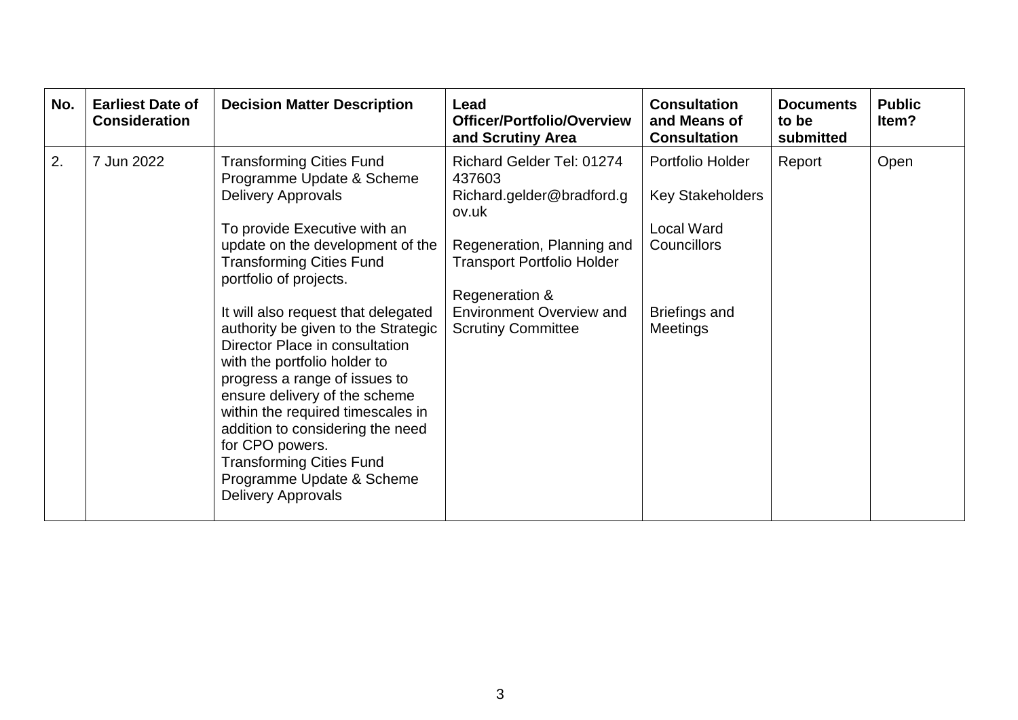| No. | <b>Earliest Date of</b><br><b>Consideration</b> | <b>Decision Matter Description</b>                                                                                                                                                                                                                                                                                                                                                                                                                                                                                                                                                                                                    | Lead<br><b>Officer/Portfolio/Overview</b><br>and Scrutiny Area                                                                                                                                                                 | <b>Consultation</b><br>and Means of<br><b>Consultation</b>                                                                        | <b>Documents</b><br>to be<br>submitted | <b>Public</b><br>Item? |
|-----|-------------------------------------------------|---------------------------------------------------------------------------------------------------------------------------------------------------------------------------------------------------------------------------------------------------------------------------------------------------------------------------------------------------------------------------------------------------------------------------------------------------------------------------------------------------------------------------------------------------------------------------------------------------------------------------------------|--------------------------------------------------------------------------------------------------------------------------------------------------------------------------------------------------------------------------------|-----------------------------------------------------------------------------------------------------------------------------------|----------------------------------------|------------------------|
| 2.  | 7 Jun 2022                                      | <b>Transforming Cities Fund</b><br>Programme Update & Scheme<br><b>Delivery Approvals</b><br>To provide Executive with an<br>update on the development of the<br><b>Transforming Cities Fund</b><br>portfolio of projects.<br>It will also request that delegated<br>authority be given to the Strategic<br>Director Place in consultation<br>with the portfolio holder to<br>progress a range of issues to<br>ensure delivery of the scheme<br>within the required timescales in<br>addition to considering the need<br>for CPO powers.<br><b>Transforming Cities Fund</b><br>Programme Update & Scheme<br><b>Delivery Approvals</b> | Richard Gelder Tel: 01274<br>437603<br>Richard.gelder@bradford.g<br>ov.uk<br>Regeneration, Planning and<br><b>Transport Portfolio Holder</b><br>Regeneration &<br><b>Environment Overview and</b><br><b>Scrutiny Committee</b> | Portfolio Holder<br><b>Key Stakeholders</b><br><b>Local Ward</b><br><b>Councillors</b><br><b>Briefings and</b><br><b>Meetings</b> | Report                                 | Open                   |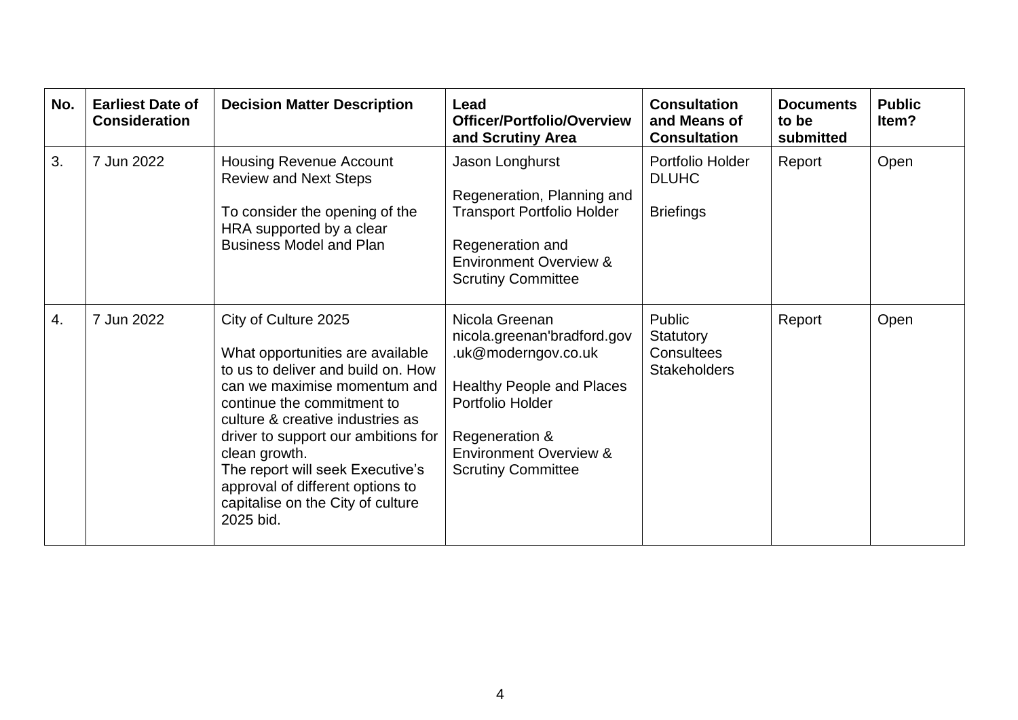| No. | <b>Earliest Date of</b><br><b>Consideration</b> | <b>Decision Matter Description</b>                                                                                                                                                                                                                                                                                                                                                 | Lead<br><b>Officer/Portfolio/Overview</b><br>and Scrutiny Area                                                                                                                                                   | <b>Consultation</b><br>and Means of<br><b>Consultation</b> | <b>Documents</b><br>to be<br>submitted | <b>Public</b><br>Item? |
|-----|-------------------------------------------------|------------------------------------------------------------------------------------------------------------------------------------------------------------------------------------------------------------------------------------------------------------------------------------------------------------------------------------------------------------------------------------|------------------------------------------------------------------------------------------------------------------------------------------------------------------------------------------------------------------|------------------------------------------------------------|----------------------------------------|------------------------|
| 3.  | 7 Jun 2022                                      | <b>Housing Revenue Account</b><br><b>Review and Next Steps</b><br>To consider the opening of the<br>HRA supported by a clear<br><b>Business Model and Plan</b>                                                                                                                                                                                                                     | Jason Longhurst<br>Regeneration, Planning and<br><b>Transport Portfolio Holder</b><br>Regeneration and<br><b>Environment Overview &amp;</b><br><b>Scrutiny Committee</b>                                         | Portfolio Holder<br><b>DLUHC</b><br><b>Briefings</b>       | Report                                 | Open                   |
| 4.  | 7 Jun 2022                                      | City of Culture 2025<br>What opportunities are available<br>to us to deliver and build on. How<br>can we maximise momentum and<br>continue the commitment to<br>culture & creative industries as<br>driver to support our ambitions for<br>clean growth.<br>The report will seek Executive's<br>approval of different options to<br>capitalise on the City of culture<br>2025 bid. | Nicola Greenan<br>nicola.greenan'bradford.gov<br>.uk@moderngov.co.uk<br><b>Healthy People and Places</b><br>Portfolio Holder<br>Regeneration &<br><b>Environment Overview &amp;</b><br><b>Scrutiny Committee</b> | Public<br>Statutory<br>Consultees<br><b>Stakeholders</b>   | Report                                 | Open                   |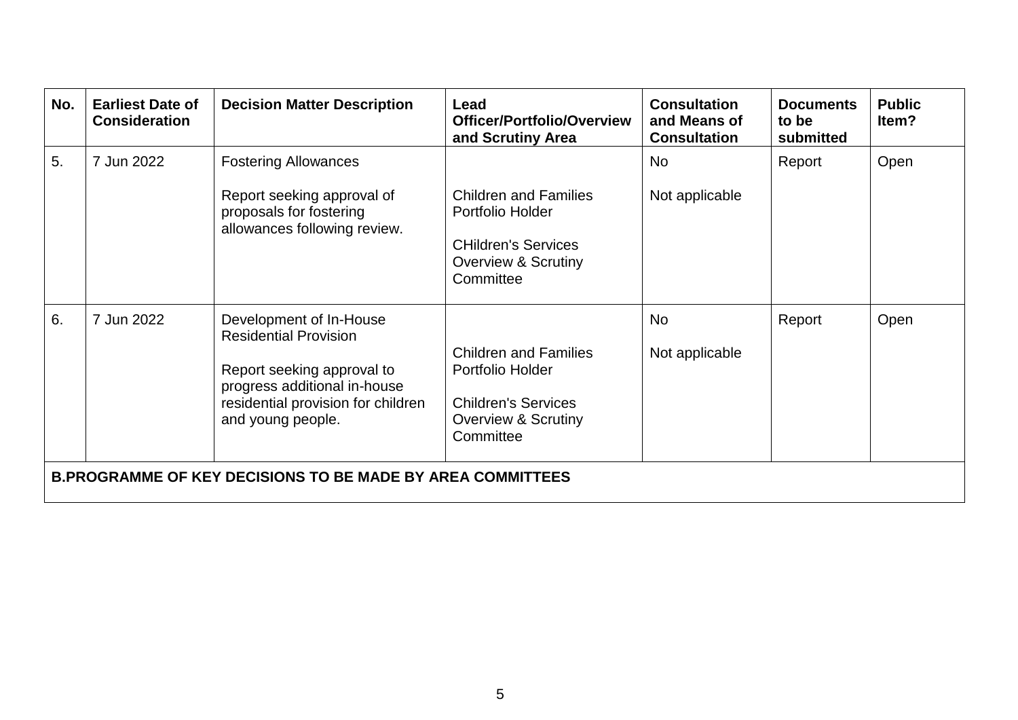| No. | <b>Earliest Date of</b><br><b>Consideration</b>                   | <b>Decision Matter Description</b>                                                                                                                                               | Lead<br><b>Officer/Portfolio/Overview</b><br>and Scrutiny Area                                                                | <b>Consultation</b><br>and Means of<br><b>Consultation</b> | <b>Documents</b><br>to be<br>submitted | <b>Public</b><br>ltem? |  |  |
|-----|-------------------------------------------------------------------|----------------------------------------------------------------------------------------------------------------------------------------------------------------------------------|-------------------------------------------------------------------------------------------------------------------------------|------------------------------------------------------------|----------------------------------------|------------------------|--|--|
| 5.  | 7 Jun 2022                                                        | <b>Fostering Allowances</b><br>Report seeking approval of<br>proposals for fostering<br>allowances following review.                                                             | <b>Children and Families</b><br>Portfolio Holder<br><b>CHildren's Services</b><br><b>Overview &amp; Scrutiny</b><br>Committee | <b>No</b><br>Not applicable                                | Report                                 | Open                   |  |  |
| 6.  | 7 Jun 2022                                                        | Development of In-House<br><b>Residential Provision</b><br>Report seeking approval to<br>progress additional in-house<br>residential provision for children<br>and young people. | <b>Children and Families</b><br>Portfolio Holder<br><b>Children's Services</b><br><b>Overview &amp; Scrutiny</b><br>Committee | <b>No</b><br>Not applicable                                | Report                                 | Open                   |  |  |
|     | <b>B.PROGRAMME OF KEY DECISIONS TO BE MADE BY AREA COMMITTEES</b> |                                                                                                                                                                                  |                                                                                                                               |                                                            |                                        |                        |  |  |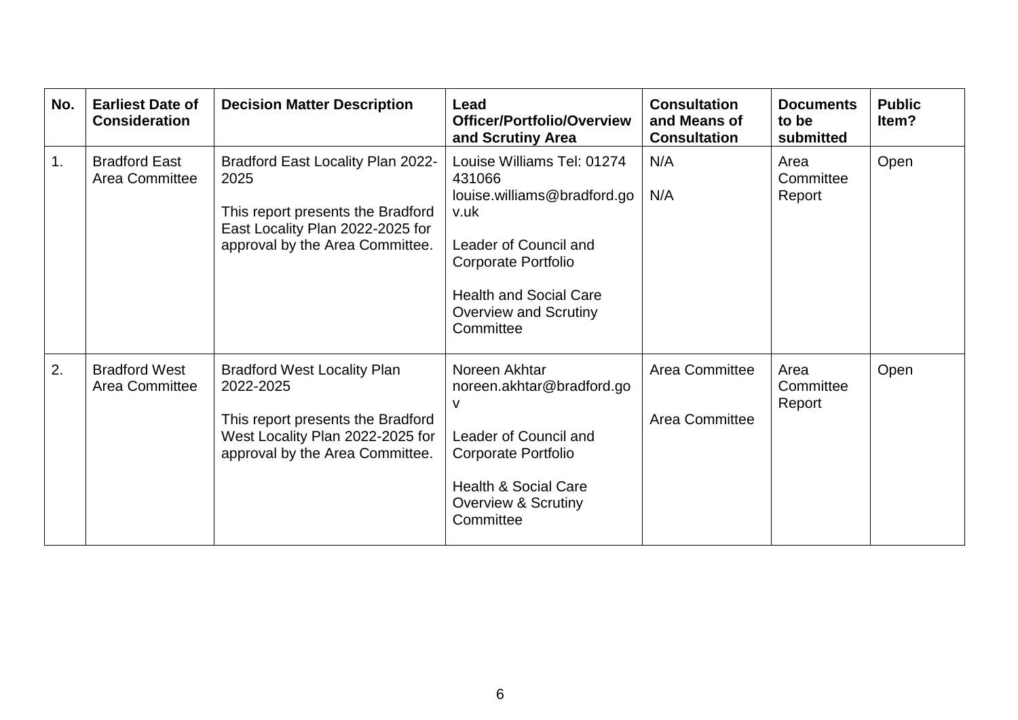| No. | <b>Earliest Date of</b><br><b>Consideration</b> | <b>Decision Matter Description</b>                                                                                                                          | Lead<br>Officer/Portfolio/Overview<br>and Scrutiny Area                                                                                                                                                          | <b>Consultation</b><br>and Means of<br><b>Consultation</b> | <b>Documents</b><br>to be<br>submitted | <b>Public</b><br>ltem? |
|-----|-------------------------------------------------|-------------------------------------------------------------------------------------------------------------------------------------------------------------|------------------------------------------------------------------------------------------------------------------------------------------------------------------------------------------------------------------|------------------------------------------------------------|----------------------------------------|------------------------|
| 1.  | <b>Bradford East</b><br><b>Area Committee</b>   | Bradford East Locality Plan 2022-<br>2025<br>This report presents the Bradford<br>East Locality Plan 2022-2025 for<br>approval by the Area Committee.       | Louise Williams Tel: 01274<br>431066<br>louise.williams@bradford.go<br>v.uk<br>Leader of Council and<br><b>Corporate Portfolio</b><br><b>Health and Social Care</b><br><b>Overview and Scrutiny</b><br>Committee | N/A<br>N/A                                                 | Area<br>Committee<br>Report            | Open                   |
| 2.  | <b>Bradford West</b><br><b>Area Committee</b>   | <b>Bradford West Locality Plan</b><br>2022-2025<br>This report presents the Bradford<br>West Locality Plan 2022-2025 for<br>approval by the Area Committee. | Noreen Akhtar<br>noreen.akhtar@bradford.go<br>v<br>Leader of Council and<br><b>Corporate Portfolio</b><br><b>Health &amp; Social Care</b><br><b>Overview &amp; Scrutiny</b><br>Committee                         | Area Committee<br><b>Area Committee</b>                    | Area<br>Committee<br>Report            | Open                   |